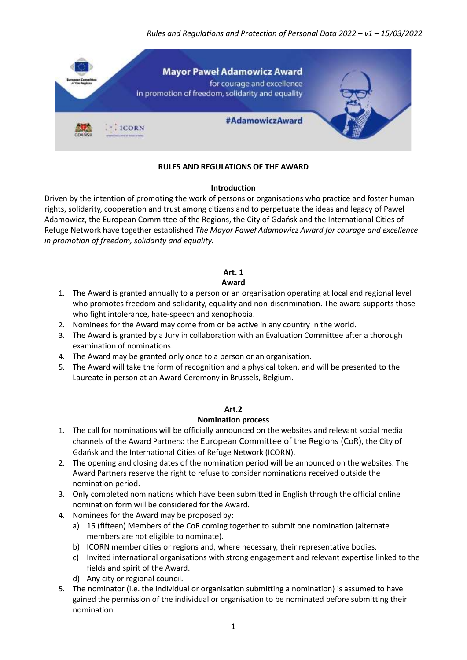*Rules and Regulations and Protection of Personal Data 2022 – v1 – 15/03/2022*



## **RULES AND REGULATIONS OF THE AWARD**

#### **Introduction**

Driven by the intention of promoting the work of persons or organisations who practice and foster human rights, solidarity, cooperation and trust among citizens and to perpetuate the ideas and legacy of Paweł Adamowicz, the European Committee of the Regions, the City of Gdańsk and the International Cities of Refuge Network have together established *The Mayor Paweł Adamowicz Award for courage and excellence in promotion of freedom, solidarity and equality.*

# **Art. 1**

## **Award**

- 1. The Award is granted annually to a person or an organisation operating at local and regional level who promotes freedom and solidarity, equality and non-discrimination. The award supports those who fight intolerance, hate-speech and xenophobia.
- 2. Nominees for the Award may come from or be active in any country in the world.
- 3. The Award is granted by a Jury in collaboration with an Evaluation Committee after a thorough examination of nominations.
- 4. The Award may be granted only once to a person or an organisation.
- 5. The Award will take the form of recognition and a physical token, and will be presented to the Laureate in person at an Award Ceremony in Brussels, Belgium.

## **Art.2**

## **Nomination process**

- 1. The call for nominations will be officially announced on the websites and relevant social media channels of the Award Partners: the [European Committee of the Regions](https://cor.europa.eu/en/our-work/Pages/mayor-paweł-adamowicz-award.aspx) (CoR), the City of Gdańsk and the International Cities of Refuge Network (ICORN).
- 2. The opening and closing dates of the nomination period will be announced on the websites. The Award Partners reserve the right to refuse to consider nominations received outside the nomination period.
- 3. Only completed nominations which have been submitted in English through the official online nomination form will be considered for the Award.
- 4. Nominees for the Award may be proposed by:
	- a) 15 (fifteen) Members of the CoR coming together to submit one nomination (alternate members are not eligible to nominate).
	- b) ICORN member cities or regions and, where necessary, their representative bodies.
	- c) Invited international organisations with strong engagement and relevant expertise linked to the fields and spirit of the Award.
	- d) Any city or regional council.
- 5. The nominator (i.e. the individual or organisation submitting a nomination) is assumed to have gained the permission of the individual or organisation to be nominated before submitting their nomination.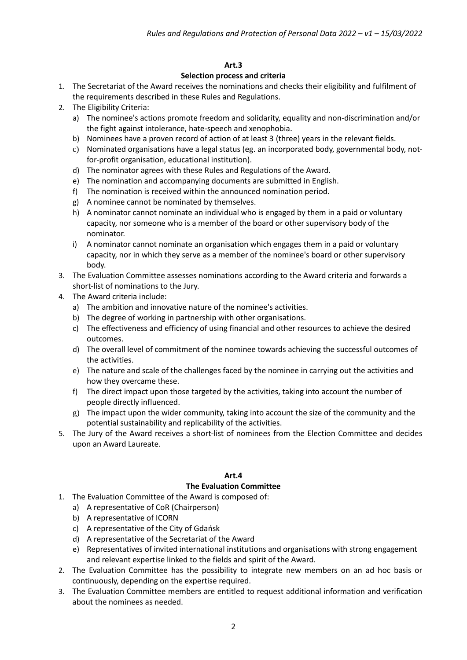## **Art.3**

#### **Selection process and criteria**

- 1. The Secretariat of the Award receives the nominations and checks their eligibility and fulfilment of the requirements described in these Rules and Regulations.
- 2. The Eligibility Criteria:
	- a) The nominee's actions promote freedom and solidarity, equality and non-discrimination and/or the fight against intolerance, hate-speech and xenophobia.
	- b) Nominees have a proven record of action of at least 3 (three) years in the relevant fields.
	- c) Nominated organisations have a legal status (eg. an incorporated body, governmental body, notfor-profit organisation, educational institution).
	- d) The nominator agrees with these Rules and Regulations of the Award.
	- e) The nomination and accompanying documents are submitted in English.
	- f) The nomination is received within the announced nomination period.
	- g) A nominee cannot be nominated by themselves.
	- h) A nominator cannot nominate an individual who is engaged by them in a paid or voluntary capacity, nor someone who is a member of the board or other supervisory body of the nominator.
	- i) A nominator cannot nominate an organisation which engages them in a paid or voluntary capacity, nor in which they serve as a member of the nominee's board or other supervisory body.
- 3. The Evaluation Committee assesses nominations according to the Award criteria and forwards a short-list of nominations to the Jury.
- 4. The Award criteria include:
	- a) The ambition and innovative nature of the nominee's activities.
	- b) The degree of working in partnership with other organisations.
	- c) The effectiveness and efficiency of using financial and other resources to achieve the desired outcomes.
	- d) The overall level of commitment of the nominee towards achieving the successful outcomes of the activities.
	- e) The nature and scale of the challenges faced by the nominee in carrying out the activities and how they overcame these.
	- f) The direct impact upon those targeted by the activities, taking into account the number of people directly influenced.
	- g) The impact upon the wider community, taking into account the size of the community and the potential sustainability and replicability of the activities.
- 5. The Jury of the Award receives a short-list of nominees from the Election Committee and decides upon an Award Laureate.

#### **Art.4**

#### **The Evaluation Committee**

- 1. The Evaluation Committee of the Award is composed of:
	- a) A representative of CoR (Chairperson)
	- b) A representative of ICORN
	- c) A representative of the City of Gdańsk
	- d) A representative of the Secretariat of the Award
	- e) Representatives of invited international institutions and organisations with strong engagement and relevant expertise linked to the fields and spirit of the Award.
- 2. The Evaluation Committee has the possibility to integrate new members on an ad hoc basis or continuously, depending on the expertise required.
- 3. The Evaluation Committee members are entitled to request additional information and verification about the nominees as needed.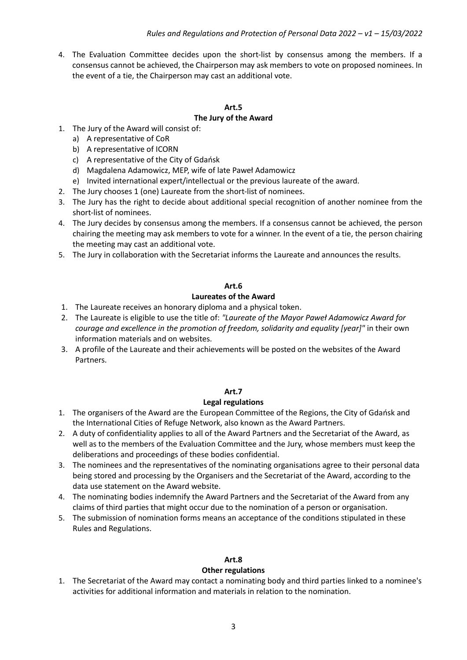4. The Evaluation Committee decides upon the short-list by consensus among the members. If a consensus cannot be achieved, the Chairperson may ask members to vote on proposed nominees. In the event of a tie, the Chairperson may cast an additional vote.

#### **Art.5 The Jury of the Award**

- 1. The Jury of the Award will consist of:
	- a) A representative of CoR
	- b) A representative of ICORN
	- c) A representative of the City of Gdańsk
	- d) Magdalena Adamowicz, MEP, wife of late Paweł Adamowicz
	- e) Invited international expert/intellectual or the previous laureate of the award.
- 2. The Jury chooses 1 (one) Laureate from the short-list of nominees.
- 3. The Jury has the right to decide about additional special recognition of another nominee from the short-list of nominees.
- 4. The Jury decides by consensus among the members. If a consensus cannot be achieved, the person chairing the meeting may ask members to vote for a winner. In the event of a tie, the person chairing the meeting may cast an additional vote.
- 5. The Jury in collaboration with the Secretariat informs the Laureate and announces the results.

## **Art.6**

## **Laureates of the Award**

- 1. The Laureate receives an honorary diploma and a physical token.
- 2. The Laureate is eligible to use the title of: *"Laureate of the Mayor Paweł Adamowicz Award for courage and excellence in the promotion of freedom, solidarity and equality [year]"* in their own information materials and on websites.
- 3. A profile of the Laureate and their achievements will be posted on the websites of the Award Partners.

## **Art.7**

## **Legal regulations**

- 1. The organisers of the Award are the European Committee of the Regions, the City of Gdańsk and the International Cities of Refuge Network, also known as the Award Partners.
- 2. A duty of confidentiality applies to all of the Award Partners and the Secretariat of the Award, as well as to the members of the Evaluation Committee and the Jury, whose members must keep the deliberations and proceedings of these bodies confidential.
- 3. The nominees and the representatives of the nominating organisations agree to their personal data being stored and processing by the Organisers and the Secretariat of the Award, according to the data use statement on the Award website.
- 4. The nominating bodies indemnify the Award Partners and the Secretariat of the Award from any claims of third parties that might occur due to the nomination of a person or organisation.
- 5. The submission of nomination forms means an acceptance of the conditions stipulated in these Rules and Regulations.

# **Art.8**

## **Other regulations**

1. The Secretariat of the Award may contact a nominating body and third parties linked to a nominee's activities for additional information and materials in relation to the nomination.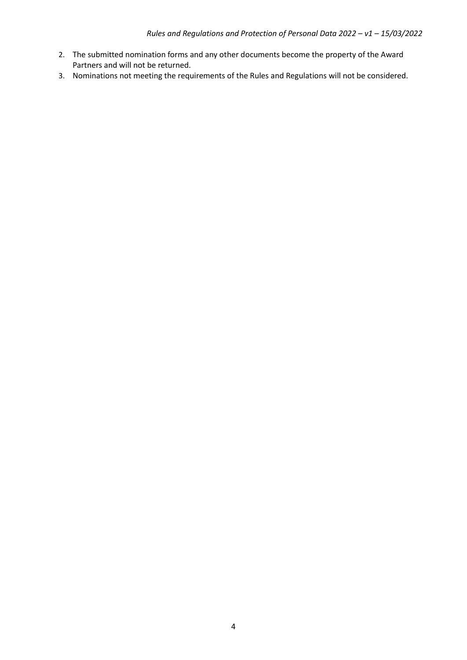- 2. The submitted nomination forms and any other documents become the property of the Award Partners and will not be returned.
- 3. Nominations not meeting the requirements of the Rules and Regulations will not be considered.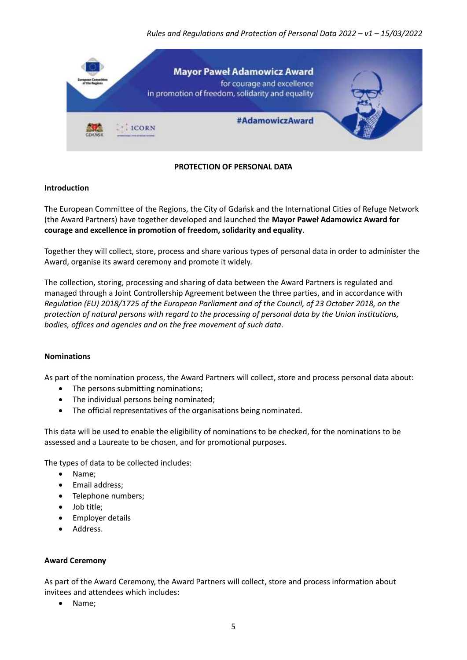*Rules and Regulations and Protection of Personal Data 2022 – v1 – 15/03/2022*



# **PROTECTION OF PERSONAL DATA**

#### **Introduction**

The European Committee of the Regions, the City of Gdańsk and the International Cities of Refuge Network (the Award Partners) have together developed and launched the **Mayor Paweł Adamowicz Award for courage and excellence in promotion of freedom, solidarity and equality**.

Together they will collect, store, process and share various types of personal data in order to administer the Award, organise its award ceremony and promote it widely.

The collection, storing, processing and sharing of data between the Award Partners is regulated and managed through a Joint Controllership Agreement between the three parties, and in accordance with *Regulation (EU) 2018/1725 of the European Parliament and of the Council, of 23 October 2018, on the protection of natural persons with regard to the processing of personal data by the Union institutions, bodies, offices and agencies and on the free movement of such data*.

#### **Nominations**

As part of the nomination process, the Award Partners will collect, store and process personal data about:

- The persons submitting nominations;
- The individual persons being nominated;
- The official representatives of the organisations being nominated.

This data will be used to enable the eligibility of nominations to be checked, for the nominations to be assessed and a Laureate to be chosen, and for promotional purposes.

The types of data to be collected includes:

- Name;
- Email address;
- Telephone numbers;
- Job title;
- **•** Employer details
- Address.

#### **Award Ceremony**

As part of the Award Ceremony, the Award Partners will collect, store and process information about invitees and attendees which includes:

• Name: